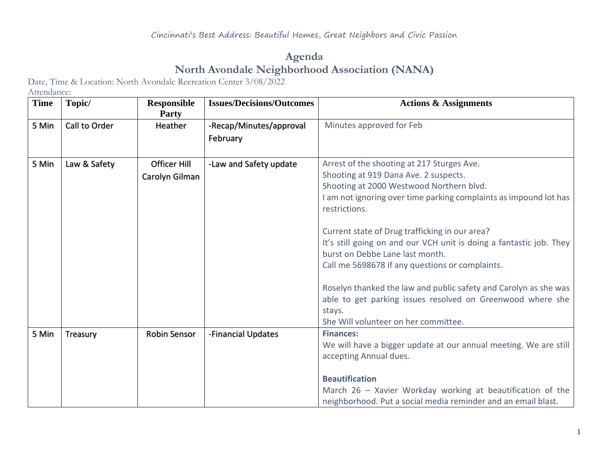## **Agenda North Avondale Neighborhood Association (NANA)**

Date, Time & Location: North Avondale Recreation Center 3/08/2022

Attendance:

| Topic/        | <b>Responsible</b><br>Party | <b>Issues/Decisions/Outcomes</b> | <b>Actions &amp; Assignments</b>                                    |
|---------------|-----------------------------|----------------------------------|---------------------------------------------------------------------|
| Call to Order | Heather                     | -Recap/Minutes/approval          | Minutes approved for Feb                                            |
|               |                             | February                         |                                                                     |
|               |                             |                                  |                                                                     |
| Law & Safety  | <b>Officer Hill</b>         | -Law and Safety update           | Arrest of the shooting at 217 Sturges Ave.                          |
|               | Carolyn Gilman              |                                  | Shooting at 919 Dana Ave. 2 suspects.                               |
|               |                             |                                  | Shooting at 2000 Westwood Northern blvd.                            |
|               |                             |                                  | I am not ignoring over time parking complaints as impound lot has   |
|               |                             |                                  | restrictions.                                                       |
|               |                             |                                  | Current state of Drug trafficking in our area?                      |
|               |                             |                                  | It's still going on and our VCH unit is doing a fantastic job. They |
|               |                             |                                  | burst on Debbe Lane last month.                                     |
|               |                             |                                  | Call me 5698678 if any questions or complaints.                     |
|               |                             |                                  |                                                                     |
|               |                             |                                  | Roselyn thanked the law and public safety and Carolyn as she was    |
|               |                             |                                  | able to get parking issues resolved on Greenwood where she          |
|               |                             |                                  | stays.                                                              |
|               |                             |                                  | She Will volunteer on her committee.                                |
| Treasury      | Robin Sensor                | -Financial Updates               | <b>Finances:</b>                                                    |
|               |                             |                                  | We will have a bigger update at our annual meeting. We are still    |
|               |                             |                                  | accepting Annual dues.                                              |
|               |                             |                                  | <b>Beautification</b>                                               |
|               |                             |                                  | March 26 - Xavier Workday working at beautification of the          |
|               |                             |                                  | neighborhood. Put a social media reminder and an email blast.       |
|               |                             |                                  |                                                                     |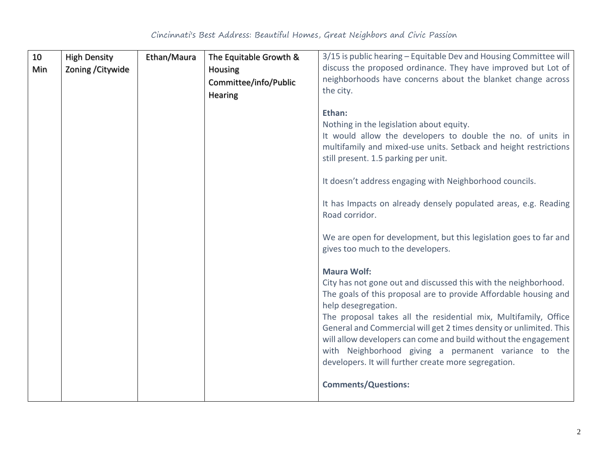| 10  | <b>High Density</b> | Ethan/Maura | The Equitable Growth & | 3/15 is public hearing – Equitable Dev and Housing Committee will                                            |
|-----|---------------------|-------------|------------------------|--------------------------------------------------------------------------------------------------------------|
| Min | Zoning / Citywide   |             | Housing                | discuss the proposed ordinance. They have improved but Lot of                                                |
|     |                     |             | Committee/info/Public  | neighborhoods have concerns about the blanket change across                                                  |
|     |                     |             | Hearing                | the city.                                                                                                    |
|     |                     |             |                        |                                                                                                              |
|     |                     |             |                        | Ethan:                                                                                                       |
|     |                     |             |                        | Nothing in the legislation about equity.<br>It would allow the developers to double the no. of units in      |
|     |                     |             |                        | multifamily and mixed-use units. Setback and height restrictions                                             |
|     |                     |             |                        | still present. 1.5 parking per unit.                                                                         |
|     |                     |             |                        |                                                                                                              |
|     |                     |             |                        | It doesn't address engaging with Neighborhood councils.                                                      |
|     |                     |             |                        |                                                                                                              |
|     |                     |             |                        | It has Impacts on already densely populated areas, e.g. Reading                                              |
|     |                     |             |                        | Road corridor.                                                                                               |
|     |                     |             |                        | We are open for development, but this legislation goes to far and                                            |
|     |                     |             |                        | gives too much to the developers.                                                                            |
|     |                     |             |                        |                                                                                                              |
|     |                     |             |                        | <b>Maura Wolf:</b>                                                                                           |
|     |                     |             |                        | City has not gone out and discussed this with the neighborhood.                                              |
|     |                     |             |                        | The goals of this proposal are to provide Affordable housing and                                             |
|     |                     |             |                        | help desegregation.                                                                                          |
|     |                     |             |                        | The proposal takes all the residential mix, Multifamily, Office                                              |
|     |                     |             |                        | General and Commercial will get 2 times density or unlimited. This                                           |
|     |                     |             |                        | will allow developers can come and build without the engagement                                              |
|     |                     |             |                        | with Neighborhood giving a permanent variance to the<br>developers. It will further create more segregation. |
|     |                     |             |                        |                                                                                                              |
|     |                     |             |                        | <b>Comments/Questions:</b>                                                                                   |
|     |                     |             |                        |                                                                                                              |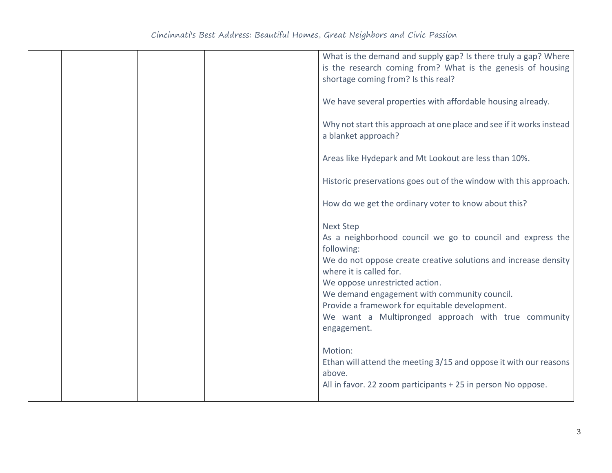|  | What is the demand and supply gap? Is there truly a gap? Where<br>is the research coming from? What is the genesis of housing<br>shortage coming from? Is this real?                                                                                                                                                                                                                                 |
|--|------------------------------------------------------------------------------------------------------------------------------------------------------------------------------------------------------------------------------------------------------------------------------------------------------------------------------------------------------------------------------------------------------|
|  | We have several properties with affordable housing already.                                                                                                                                                                                                                                                                                                                                          |
|  | Why not start this approach at one place and see if it works instead<br>a blanket approach?                                                                                                                                                                                                                                                                                                          |
|  | Areas like Hydepark and Mt Lookout are less than 10%.                                                                                                                                                                                                                                                                                                                                                |
|  | Historic preservations goes out of the window with this approach.                                                                                                                                                                                                                                                                                                                                    |
|  | How do we get the ordinary voter to know about this?                                                                                                                                                                                                                                                                                                                                                 |
|  | <b>Next Step</b><br>As a neighborhood council we go to council and express the<br>following:<br>We do not oppose create creative solutions and increase density<br>where it is called for.<br>We oppose unrestricted action.<br>We demand engagement with community council.<br>Provide a framework for equitable development.<br>We want a Multipronged approach with true community<br>engagement. |
|  | Motion:<br>Ethan will attend the meeting 3/15 and oppose it with our reasons<br>above.<br>All in favor. 22 zoom participants + 25 in person No oppose.                                                                                                                                                                                                                                               |